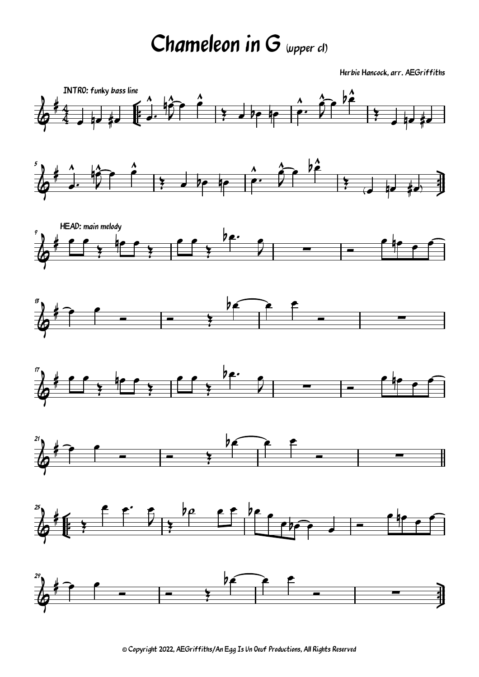## Chameleon in G (upper cl)

Herbie Hancock, arr. AEGriffiths



<sup>©</sup> Copyright 2022, AEGriffiths/An Egg Is Un Oeuf Productions, All Rights Reserved